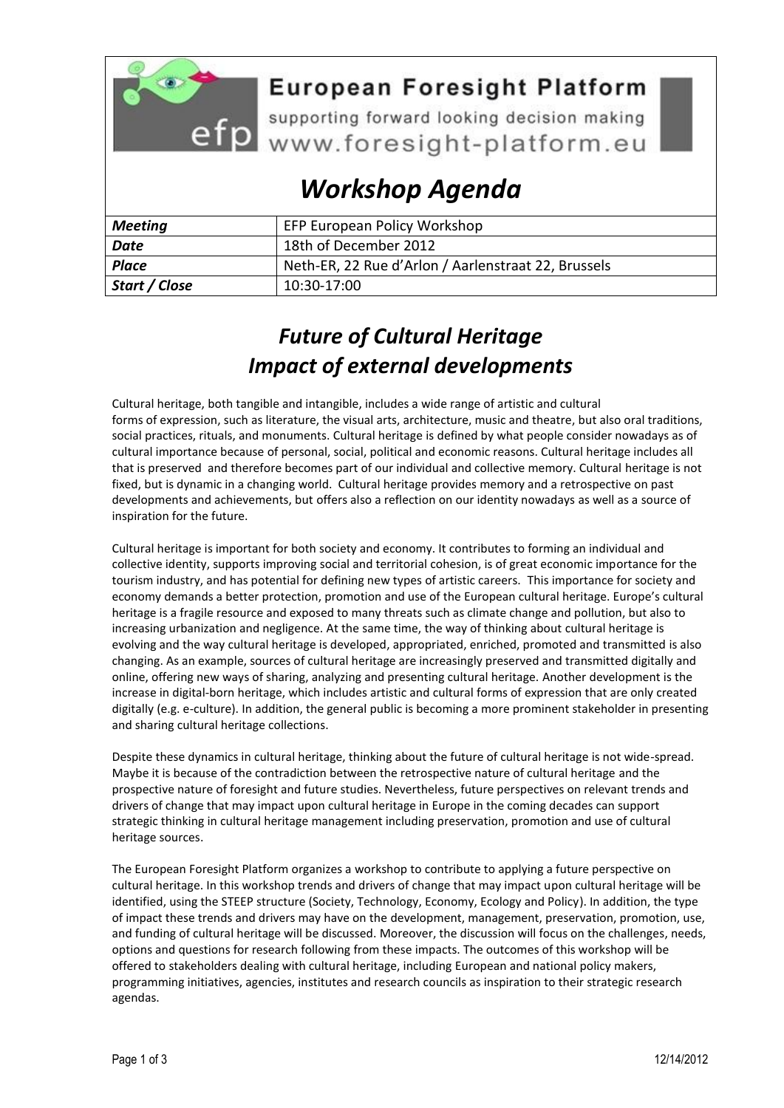

## **European Foresight Platform**

efp supporting forward looking decision making<br>www.foresight-platform.eu

# *Workshop Agenda*

| <b>Meeting</b> | EFP European Policy Workshop                        |
|----------------|-----------------------------------------------------|
| Date           | 18th of December 2012                               |
| <b>Place</b>   | Neth-ER, 22 Rue d'Arlon / Aarlenstraat 22, Brussels |
| Start / Close  | 10:30-17:00                                         |

## *Future of Cultural Heritage Impact of external developments*

Cultural heritage, both tangible and intangible, includes a wide range of artistic and cultural forms of expression, such as literature, the visual arts, architecture, music and theatre, but also oral traditions, social practices, rituals, and monuments. Cultural heritage is defined by what people consider nowadays as of cultural importance because of personal, social, political and economic reasons. Cultural heritage includes all that is preserved and therefore becomes part of our individual and collective memory. Cultural heritage is not fixed, but is dynamic in a changing world. Cultural heritage provides memory and a retrospective on past developments and achievements, but offers also a reflection on our identity nowadays as well as a source of inspiration for the future.

Cultural heritage is important for both society and economy. It contributes to forming an individual and collective identity, supports improving social and territorial cohesion, is of great economic importance for the tourism industry, and has potential for defining new types of artistic careers. This importance for society and economy demands a better protection, promotion and use of the European cultural heritage. Europe's cultural heritage is a fragile resource and exposed to many threats such as climate change and pollution, but also to increasing urbanization and negligence. At the same time, the way of thinking about cultural heritage is evolving and the way cultural heritage is developed, appropriated, enriched, promoted and transmitted is also changing. As an example, sources of cultural heritage are increasingly preserved and transmitted digitally and online, offering new ways of sharing, analyzing and presenting cultural heritage. Another development is the increase in digital-born heritage, which includes artistic and cultural forms of expression that are only created digitally (e.g. e-culture). In addition, the general public is becoming a more prominent stakeholder in presenting and sharing cultural heritage collections.

Despite these dynamics in cultural heritage, thinking about the future of cultural heritage is not wide-spread. Maybe it is because of the contradiction between the retrospective nature of cultural heritage and the prospective nature of foresight and future studies. Nevertheless, future perspectives on relevant trends and drivers of change that may impact upon cultural heritage in Europe in the coming decades can support strategic thinking in cultural heritage management including preservation, promotion and use of cultural heritage sources.

The European Foresight Platform organizes a workshop to contribute to applying a future perspective on cultural heritage. In this workshop trends and drivers of change that may impact upon cultural heritage will be identified, using the STEEP structure (Society, Technology, Economy, Ecology and Policy). In addition, the type of impact these trends and drivers may have on the development, management, preservation, promotion, use, and funding of cultural heritage will be discussed. Moreover, the discussion will focus on the challenges, needs, options and questions for research following from these impacts. The outcomes of this workshop will be offered to stakeholders dealing with cultural heritage, including European and national policy makers, programming initiatives, agencies, institutes and research councils as inspiration to their strategic research agendas.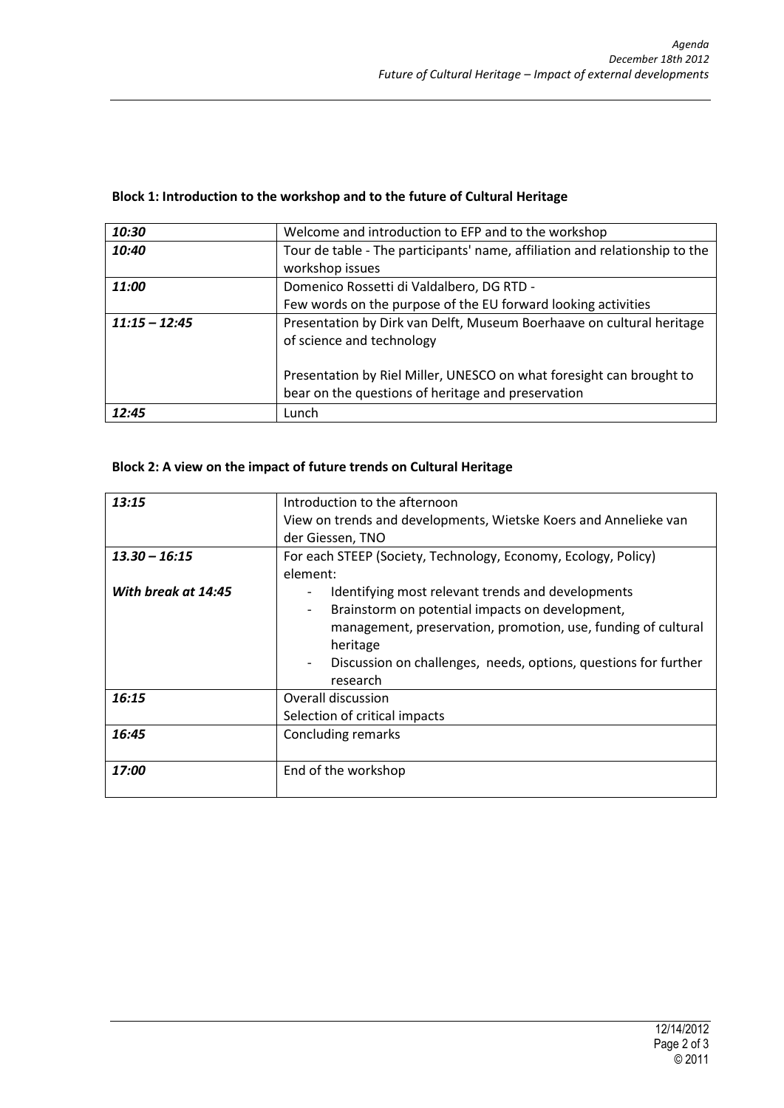| 10:30           | Welcome and introduction to EFP and to the workshop                                                                                                                        |
|-----------------|----------------------------------------------------------------------------------------------------------------------------------------------------------------------------|
| 10:40           | Tour de table - The participants' name, affiliation and relationship to the<br>workshop issues                                                                             |
| 11:00           | Domenico Rossetti di Valdalbero, DG RTD -<br>Few words on the purpose of the EU forward looking activities                                                                 |
| $11:15 - 12:45$ | Presentation by Dirk van Delft, Museum Boerhaave on cultural heritage<br>of science and technology<br>Presentation by Riel Miller, UNESCO on what foresight can brought to |
|                 | bear on the questions of heritage and preservation                                                                                                                         |
| 12:45           | Lunch                                                                                                                                                                      |

### **Block 1: Introduction to the workshop and to the future of Cultural Heritage**

#### **Block 2: A view on the impact of future trends on Cultural Heritage**

| 13:15               | Introduction to the afternoon                                                               |
|---------------------|---------------------------------------------------------------------------------------------|
|                     | View on trends and developments, Wietske Koers and Annelieke van                            |
|                     |                                                                                             |
|                     | der Giessen, TNO                                                                            |
| $13.30 - 16:15$     | For each STEEP (Society, Technology, Economy, Ecology, Policy)                              |
|                     | element:                                                                                    |
| With break at 14:45 | Identifying most relevant trends and developments                                           |
|                     | Brainstorm on potential impacts on development,                                             |
|                     | management, preservation, promotion, use, funding of cultural                               |
|                     | heritage                                                                                    |
|                     | Discussion on challenges, needs, options, questions for further<br>$\overline{\phantom{0}}$ |
|                     | research                                                                                    |
| 16:15               | Overall discussion                                                                          |
|                     | Selection of critical impacts                                                               |
| 16:45               | Concluding remarks                                                                          |
|                     |                                                                                             |
| 17:00               | End of the workshop                                                                         |
|                     |                                                                                             |